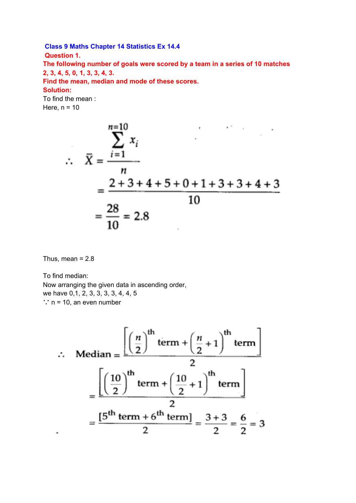# **Class 9 Maths Chapter 14 Statistics Ex 14.4 Question 1. The following number of goals were scored by a team in a series of 10 matches**

**2, 3, 4, 5, 0, 1, 3, 3, 4, 3.**

**Find the mean, median and mode of these scores.**

# **Solution:**

To find the mean : Here,  $n = 10$ 

$$
\therefore \quad \overline{X} = \frac{\sum_{i=1}^{n=10} x_i}{\frac{n}{10}} = \frac{2+3+4+5+0+1+3+3+4+3}{10} = \frac{28}{10} = 2.8
$$

Thus, mean  $= 2.8$ 

To find median: Now arranging the given data in ascending order, we have 0,1, 2, 3, 3, 3, 3, 4, 4, 5 ∵ n = 10, an even number

$$
\therefore \text{ Median} = \frac{\left[\left(\frac{n}{2}\right)^{\text{th}} \text{term} + \left(\frac{n}{2} + 1\right)^{\text{th}} \text{term}\right]}{2}
$$

$$
= \frac{\left[\left(\frac{10}{2}\right)^{\text{th}} \text{term} + \left(\frac{10}{2} + 1\right)^{\text{th}} \text{term}\right]}{2}
$$

$$
= \frac{[5^{\text{th}} \text{term} + 6^{\text{th}} \text{term}]}{2} = \frac{3 + 3}{2} = \frac{6}{2} = 3
$$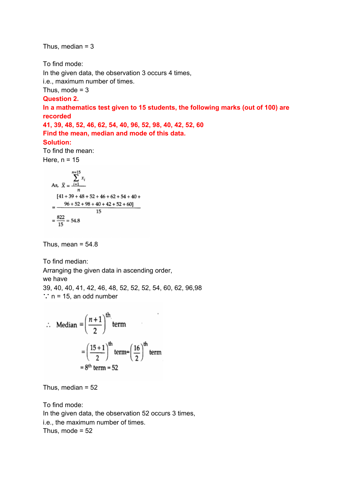Thus, median  $= 3$ 

To find mode:

In the given data, the observation 3 occurs 4 times,

i.e., maximum number of times.

Thus, mode  $= 3$ 

#### **Question 2.**

**In a mathematics test given to 15 students, the following marks (out of 100) are recorded**

**41, 39, 48, 52, 46, 62, 54, 40, 96, 52, 98, 40, 42, 52, 60 Find the mean, median and mode of this data.**

### **Solution:**

To find the mean: Here,  $n = 15$ 

As, 
$$
\bar{X} = \frac{\sum_{i=1}^{n=15} x_i}{n}
$$
  
=  $\frac{141 + 39 + 48 + 52 + 46 + 62 + 54 + 40 + 96 + 52 + 98 + 40 + 42 + 52 + 60}{15}$   
=  $\frac{822}{15} = 54.8$ 

Thus, mean  $= 54.8$ 

To find median: Arranging the given data in ascending order, we have 39, 40, 40, 41, 42, 46, 48, 52, 52, 52, 54, 60, 62, 96,98 ∵ n = 15, an odd number

$$
\therefore \text{ Median } = \left(\frac{n+1}{2}\right)^{\text{th}} \text{ term}
$$

$$
= \left(\frac{15+1}{2}\right)^{\text{th}} \text{ term} = \left(\frac{16}{2}\right)^{\text{th}} \text{ term}
$$

$$
= 8^{\text{th}} \text{ term} = 52
$$

Thus, median  $= 52$ 

To find mode: In the given data, the observation 52 occurs 3 times, i.e., the maximum number of times. Thus, mode  $= 52$